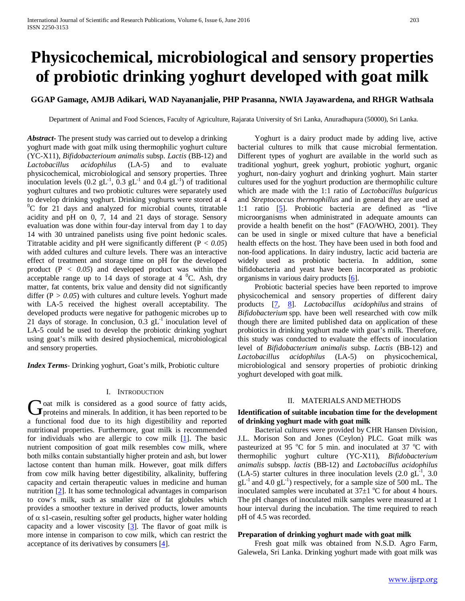# **Physicochemical, microbiological and sensory properties of probiotic drinking yoghurt developed with goat milk**

# **GGAP Gamage, AMJB Adikari, WAD Nayananjalie, PHP Prasanna, NWIA Jayawardena, and RHGR Wathsala**

Department of Animal and Food Sciences, Faculty of Agriculture, Rajarata University of Sri Lanka, Anuradhapura (50000), Sri Lanka.

*Abstract***-** The present study was carried out to develop a drinking yoghurt made with goat milk using thermophilic yoghurt culture (YC-X11), *Bifidobacterioum animalis* subsp. *Lactis* (BB-12) and *Lactobacillus acidophilus* (LA-5) and to evaluate physicochemical, microbiological and sensory properties. Three inoculation levels (0.2  $gL^{-1}$ , 0.3  $gL^{-1}$  and 0.4  $gL^{-1}$ ) of traditional yoghurt cultures and two probiotic cultures were separately used to develop drinking yoghurt. Drinking yoghurts were stored at 4 <sup>0</sup>C for 21 days and analyzed for microbial counts, titratable acidity and pH on 0, 7, 14 and 21 days of storage. Sensory evaluation was done within four-day interval from day 1 to day 14 with 30 untrained panelists using five point hedonic scales. Titratable acidity and pH were significantly different (P *< 0.05*) with added cultures and culture levels. There was an interactive effect of treatment and storage time on pH for the developed product (P *< 0.05*) and developed product was within the acceptable range up to 14 days of storage at  $4 \degree C$ . Ash, dry matter, fat contents, brix value and density did not significantly differ  $(P > 0.05)$  with cultures and culture levels. Yoghurt made with LA-5 received the highest overall acceptability. The developed products were negative for pathogenic microbes up to 21 days of storage. In conclusion,  $0.3$   $gL<sup>-1</sup>$  inoculation level of LA-5 could be used to develop the probiotic drinking yoghurt using goat's milk with desired physiochemical, microbiological and sensory properties.

*Index Terms*- Drinking yoghurt, Goat's milk, Probiotic culture

#### I. INTRODUCTION

oat milk is considered as a good source of fatty acids, General milk is considered as a good source of fatty acids, proteins and minerals. In addition, it has been reported to be a functional food due to its high digestibility and reported nutritional properties. Furthermore, goat milk is recommended for individuals who are allergic to cow milk  $[1]$ . The basic nutrient composition of goat milk resembles cow milk, where both milks contain substantially higher protein and ash, but lower lactose content than human milk. However, goat milk differs from cow milk having better digestibility, alkalinity, buffering capacity and certain therapeutic values in medicine and human nutrition [2]. It has some technological advantages in comparison to cow's milk, such as smaller size of fat globules which provides a smoother texture in derived products, lower amounts of  $\alpha$  s1-casein, resulting softer gel products, higher water holding capacity and a lower viscosity  $[3]$ . The flavor of goat milk is more intense in comparison to cow milk, which can restrict the acceptance of its derivatives by consumers [4].

 Yoghurt is a dairy product made by adding live, active bacterial cultures to milk that cause microbial fermentation. Different types of yoghurt are available in the world such as traditional yoghurt, greek yoghurt, probiotic yoghurt, organic yoghurt, non-dairy yoghurt and drinking yoghurt. Main starter cultures used for the yoghurt production are thermophilic culture which are made with the 1:1 ratio of *Lactobacillus bulgaricus* and *Streptococcus thermophillus* and in general they are used at 1:1 ratio [5]. Probiotic bacteria are defined as "live microorganisms when administrated in adequate amounts can provide a health benefit on the host" (FAO/WHO, 2001). They can be used in single or mixed culture that have a beneficial health effects on the host. They have been used in both food and non-food applications. In dairy industry, lactic acid bacteria are widely used as probiotic bacteria. In addition, some bifidobacteria and yeast have been incorporated as probiotic organisms in various dairy products [6].

 Probiotic bacterial species have been reported to improve physicochemical and sensory properties of different dairy products [7, 8]. *Lactobacillus acidophilus* and strains of *Bifidobacterium* spp. have been well researched with cow milk though there are limited published data on application of these probiotics in drinking yoghurt made with goat's milk. Therefore, this study was conducted to evaluate the effects of inoculation level of *Bifidobacterium animalis* subsp. *Lactis* (BB-12) and *Lactobacillus acidophilus* (LA-5) on physicochemical, microbiological and sensory properties of probiotic drinking yoghurt developed with goat milk.

#### II. MATERIALS AND METHODS

## **Identification of suitable incubation time for the development of drinking yoghurt made with goat milk**

 Bacterial cultures were provided by CHR Hansen Division, J.L. Morison Son and Jones (Ceylon) PLC. Goat milk was pasteurized at 95 °C for 5 min. and inoculated at 37 °C with thermophilic yoghurt culture (YC-X11), *Bifidobacterium animalis* subspp. *lactis* (BB-12) and *Lactobacillus acidophilus* (LA-5) starter cultures in three inoculation levels  $(2.0 \text{ gL}^{-1}, 3.0 \text{ m})$  $gL^{-1}$  and 4.0  $gL^{-1}$ ) respectively, for a sample size of 500 mL. The inoculated samples were incubated at  $37\pm1$  °C for about 4 hours. The pH changes of inoculated milk samples were measured at 1 hour interval during the incubation. The time required to reach pH of 4.5 was recorded.

## **Preparation of drinking yoghurt made with goat milk**

 Fresh goat milk was obtained from N.S.D. Agro Farm, Galewela, Sri Lanka. Drinking yoghurt made with goat milk was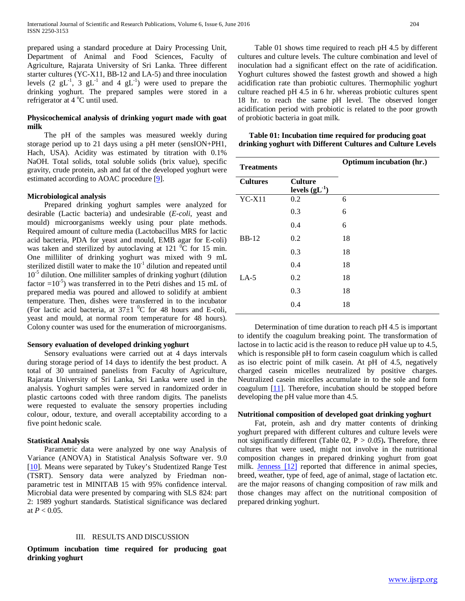prepared using a standard procedure at Dairy Processing Unit, Department of Animal and Food Sciences, Faculty of Agriculture, Rajarata University of Sri Lanka. Three different starter cultures (YC-X11, BB-12 and LA-5) and three inoculation levels (2  $gL^{-1}$ , 3  $gL^{-1}$  and 4  $gL^{-1}$ ) were used to prepare the drinking yoghurt. The prepared samples were stored in a refrigerator at 4 °C until used.

## **Physicochemical analysis of drinking yogurt made with goat milk**

 The pH of the samples was measured weekly during storage period up to 21 days using a pH meter (sensION+PH1, Hach, USA). Acidity was estimated by titration with 0.1% NaOH. Total solids, total soluble solids (brix value), specific gravity, crude protein, ash and fat of the developed yoghurt were estimated according to AOAC procedure [9].

# **Microbiological analysis**

 Prepared drinking yoghurt samples were analyzed for desirable (Lactic bacteria) and undesirable (*E-coli*, yeast and mould) microorganisms weekly using pour plate methods. Required amount of culture media (Lactobacillus MRS for lactic acid bacteria, PDA for yeast and mould, EMB agar for E-coli) was taken and sterilized by autoclaving at 121  $\mathrm{^0C}$  for 15 min. One milliliter of drinking yoghurt was mixed with 9 mL sterilized distill water to make the  $10^{-1}$  dilution and repeated until  $10^{-5}$  dilution. One milliliter samples of drinking yoghurt (dilution factor  $=10^{-5}$ ) was transferred in to the Petri dishes and 15 mL of prepared media was poured and allowed to solidify at ambient temperature. Then, dishes were transferred in to the incubator (For lactic acid bacteria, at  $37\pm1~^0C$  for 48 hours and E-coli, yeast and mould, at normal room temperature for 48 hours). Colony counter was used for the enumeration of microorganisms.

## **Sensory evaluation of developed drinking yoghurt**

 Sensory evaluations were carried out at 4 days intervals during storage period of 14 days to identify the best product. A total of 30 untrained panelists from Faculty of Agriculture, Rajarata University of Sri Lanka, Sri Lanka were used in the analysis. Yoghurt samples were served in randomized order in plastic cartoons coded with three random digits. The panelists were requested to evaluate the sensory properties including colour, odour, texture, and overall acceptability according to a five point hedonic scale.

## **Statistical Analysis**

 Parametric data were analyzed by one way Analysis of Variance (ANOVA) in Statistical Analysis Software ver. 9.0 [10]. Means were separated by Tukey's Studentized Range Test (TSRT). Sensory data were analyzed by Friedman nonparametric test in MINITAB 15 with 95% confidence interval. Microbial data were presented by comparing with SLS 824: part 2: 1989 yoghurt standards. Statistical significance was declared at *P* < 0.05.

## III. RESULTS AND DISCUSSION

**Optimum incubation time required for producing goat drinking yoghurt**

 Table 01 shows time required to reach pH 4.5 by different cultures and culture levels. The culture combination and level of inoculation had a significant effect on the rate of acidification. Yoghurt cultures showed the fastest growth and showed a high acidification rate than probiotic cultures. Thermophilic yoghurt culture reached pH 4.5 in 6 hr. whereas probiotic cultures spent 18 hr. to reach the same pH level. The observed longer acidification period with probiotic is related to the poor growth of probiotic bacteria in goat milk.

# **Table 01: Incubation time required for producing goat drinking yoghurt with Different Cultures and Culture Levels**

| <b>Treatments</b> |                                   | Optimum incubation (hr.) |
|-------------------|-----------------------------------|--------------------------|
| <b>Cultures</b>   | <b>Culture</b><br>levels $(gL-1)$ |                          |
| $YC-X11$          | 0.2                               | 6                        |
|                   | 0.3                               | 6                        |
|                   | 0.4                               | 6                        |
| <b>BB-12</b>      | 0.2                               | 18                       |
|                   | 0.3                               | 18                       |
|                   | 0.4                               | 18                       |
| $LA-5$            | 0.2                               | 18                       |
|                   | 0.3                               | 18                       |
|                   | 0.4                               | 18                       |

 Determination of time duration to reach pH 4.5 is important to identify the coagulum breaking point. The transformation of lactose in to lactic acid is the reason to reduce pH value up to 4.5, which is responsible pH to form casein coagulum which is called as iso electric point of milk casein. At pH of 4.5, negatively charged casein micelles neutralized by positive charges. Neutralized casein micelles accumulate in to the sole and form coagulum [11]. Therefore, incubation should be stopped before developing the pH value more than 4.5.

## **Nutritional composition of developed goat drinking yoghurt**

 Fat, protein, ash and dry matter contents of drinking yoghurt prepared with different cultures and culture levels were not significantly different (Table 02,  $P > 0.05$ ). Therefore, three cultures that were used, might not involve in the nutritional composition changes in prepared drinking yoghurt from goat milk. **Jenness** [12] reported that difference in animal species, breed, weather, type of feed, age of animal, stage of lactation etc. are the major reasons of changing composition of raw milk and those changes may affect on the nutritional composition of prepared drinking yoghurt.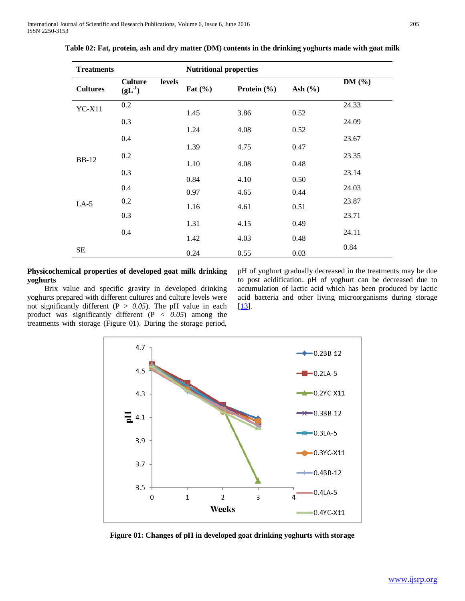| <b>Treatments</b> |                               |        | <b>Nutritional properties</b> |                 |             |            |  |
|-------------------|-------------------------------|--------|-------------------------------|-----------------|-------------|------------|--|
| <b>Cultures</b>   | <b>Culture</b><br>$(gL^{-1})$ | levels | Fat $(\% )$                   | Protein $(\% )$ | Ash $(\% )$ | DM $(\% )$ |  |
| $YC-X11$          | 0.2                           |        | 1.45                          | 3.86            | 0.52        | 24.33      |  |
|                   | 0.3                           |        |                               |                 |             | 24.09      |  |
|                   | 0.4                           |        | 1.24                          | 4.08            | 0.52        | 23.67      |  |
|                   |                               |        | 1.39                          | 4.75            | 0.47        |            |  |
| <b>BB-12</b>      | 0.2                           |        | 1.10                          | 4.08            | 0.48        | 23.35      |  |
|                   | 0.3                           |        |                               |                 |             | 23.14      |  |
|                   | 0.4                           |        | 0.84                          | 4.10            | 0.50        | 24.03      |  |
|                   | 0.2                           |        | 0.97                          | 4.65            | 0.44        | 23.87      |  |
| $LA-5$            | 0.3                           |        | 1.16                          | 4.61            | 0.51        | 23.71      |  |
|                   |                               |        | 1.31                          | 4.15            | 0.49        |            |  |
|                   | 0.4                           |        | 1.42                          | 4.03            | 0.48        | 24.11      |  |
| SE                |                               |        | 0.24                          | 0.55            | 0.03        | 0.84       |  |

**Table 02: Fat, protein, ash and dry matter (DM) contents in the drinking yoghurts made with goat milk**

## **Physicochemical properties of developed goat milk drinking yoghurts**

 Brix value and specific gravity in developed drinking yoghurts prepared with different cultures and culture levels were not significantly different ( $P > 0.05$ ). The pH value in each product was significantly different  $(P < 0.05)$  among the treatments with storage [\(Figure 0](#page-2-0)1). During the storage period, pH of yoghurt gradually decreased in the treatments may be due to post acidification. pH of yoghurt can be decreased due to accumulation of lactic acid which has been produced by lactic acid bacteria and other living microorganisms during storage [13].



<span id="page-2-0"></span>**Figure 01: Changes of pH in developed goat drinking yoghurts with storage**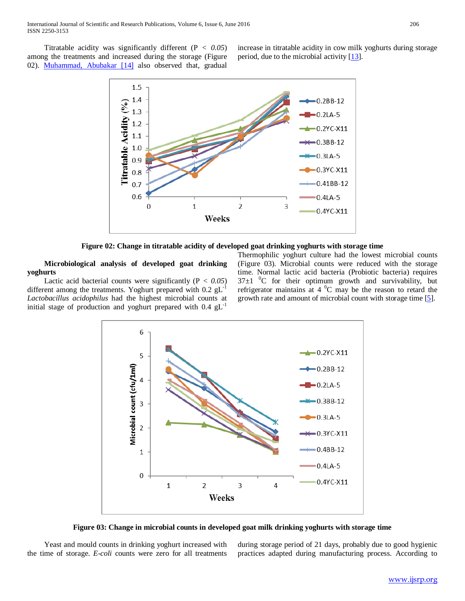Titratable acidity was significantly different (P *< 0.05*) among the treatments and increased during the storage (Figure 02). Muhammad, Abubakar [14] also observed that, gradual increase in titratable acidity in cow milk yoghurts during storage period, due to the microbial activity [13].



**Figure 02: Change in titratable acidity of developed goat drinking yoghurts with storage time**

 **Microbiological analysis of developed goat drinking yoghurts** 

Lactic acid bacterial counts were significantly  $(P < 0.05)$ different among the treatments. Yoghurt prepared with  $0.2$  gL<sup>-1</sup> *Lactobacillus acidophilus* had the highest microbial counts at initial stage of production and yoghurt prepared with  $0.4 \text{ gL}^{-1}$ 

Thermophilic yoghurt culture had the lowest microbial counts (Figure 03). Microbial counts were reduced with the storage time. Normal lactic acid bacteria (Probiotic bacteria) requires  $37\pm1$  <sup>0</sup>C for their optimum growth and survivability, but refrigerator maintains at 4  $^{0}$ C may be the reason to retard the growth rate and amount of microbial count with storage time [5].



**Figure 03: Change in microbial counts in developed goat milk drinking yoghurts with storage time**

 Yeast and mould counts in drinking yoghurt increased with the time of storage. *E-coli* counts were zero for all treatments during storage period of 21 days, probably due to good hygienic practices adapted during manufacturing process. According to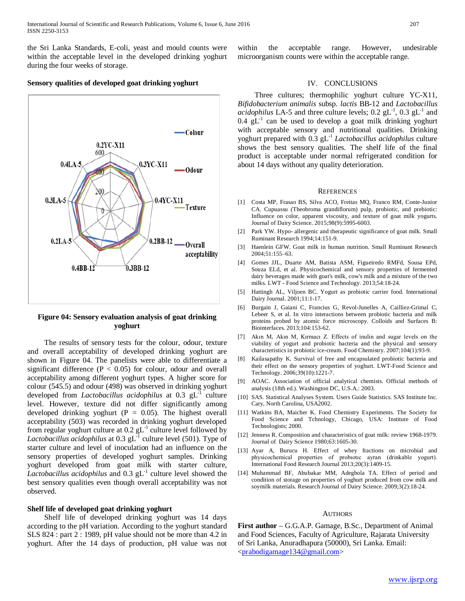the Sri Lanka Standards, E-coli, yeast and mould counts were within the acceptable level in the developed drinking yoghurt during the four weeks of storage.

#### **Sensory qualities of developed goat drinking yoghurt**



# **Figure 04: Sensory evaluation analysis of goat drinking yoghurt**

 The results of sensory tests for the colour, odour, texture and overall acceptability of developed drinking yoghurt are shown in Figure 04. The panelists were able to differentiate a significant difference ( $P < 0.05$ ) for colour, odour and overall acceptability among different yoghurt types. A higher score for colour (545.5) and odour (498) was observed in drinking yoghurt developed from *Lactobacillus acidophilus* at 0.3 gL<sup>-1</sup> culture level. However, texture did not differ significantly among developed drinking yoghurt ( $P = 0.05$ ). The highest overall acceptability (503) was recorded in drinking yoghurt developed from regular yoghurt culture at  $0.2$  gL<sup>-1</sup> culture level followed by Lactobacillus acidophilus at 0.3 gL<sup>-1</sup> culture level (501). Type of starter culture and level of inoculation had an influence on the sensory properties of developed yoghurt samples. Drinking yoghurt developed from goat milk with starter culture, *Lactobacillus acidophilus* and  $0.3 \text{ gL}^{-1}$  culture level showed the best sensory qualities even though overall acceptability was not observed.

## **Shelf life of developed goat drinking yoghurt**

 Shelf life of developed drinking yoghurt was 14 days according to the pH variation. According to the yoghurt standard SLS 824 : part 2 : 1989, pH value should not be more than 4.2 in yoghurt. After the 14 days of production, pH value was not

within the acceptable range. However, undesirable microorganism counts were within the acceptable range.

## IV. CONCLUSIONS

 Three cultures; thermophilic yoghurt culture YC-X11, *Bifidobacterium animalis* subsp. *lactis* BB-12 and *Lactobacillus acidophilus* LA-5 and three culture levels;  $0.2$   $gL^{-1}$ ,  $0.3$   $gL^{-1}$  and 0.4  $gL<sup>-1</sup>$  can be used to develop a goat milk drinking yoghurt with acceptable sensory and nutritional qualities. Drinking yoghurt prepared with 0.3 gL-1 *Lactobacillus acidophilus* culture shows the best sensory qualities. The shelf life of the final product is acceptable under normal refrigerated condition for about 14 days without any quality deterioration.

#### **REFERENCES**

- [1] Costa MP, Frasao BS, Silva ACO, Freitas MQ, Franco RM, Conte-Junior CA. Cupuassu (Theobroma grandiflorum) pulp, probiotic, and prebiotic: Influence on color, apparent viscosity, and texture of goat milk yogurts. Journal of Dairy Science. 2015;98(9):5995-6003.
- [2] Park YW. Hypo- allergenic and therapeutic significance of goat milk. Small Ruminant Research 1994;14:151-9.
- [3] Haenlein GFW. Goat milk in human nutrition. Small Ruminant Research 2004;51:155–63.
- [4] Gomes JJL, Duarte AM, Batista ASM, Figueiredo RMFd, Sousa EPd, Souza ELd, et al. Physicochemical and sensory properties of fermented dairy beverages made with goat's milk, cow's milk and a mixture of the two milks. LWT - Food Science and Technology. 2013;54:18-24.
- [5] Hattingh AL, Viljoen BC. Yogurt as probiotic carrier food. International Dairy Journal. 2001;11:1-17.
- [6] Burgain J, Gaiani C, Francius G, Revol-Junelles A, Cailliez-Grimal C, Lebeer S, et al. In vitro interactions between probiotic bacteria and milk proteins probed by atomic force microscopy. Colloids and Surfaces B: Biointerfaces. 2013;104:153-62.
- [7] Akın M, Akın M, Kırmacı Z. Effects of inulin and sugar levels on the viability of yogurt and probiotic bacteria and the physical and sensory characteristics in probiotic ice-cream. Food Chemistry. 2007;104(1):93-9.
- [8] Kailasapathy K. Survival of free and encapsulated probiotic bacteria and their effect on the sensory properties of yoghurt. LWT-Food Science and Technology. 2006;39(10):1221-7.
- [9] AOAC. Association of official analytical chemists. Official methods of analysis (18th ed.). Washington DC, U.S.A.: 2003.
- [10] SAS. Statistical Analyses System. Users Guide Statistics. SAS Institute Inc. Cary, North Carolina, USA2002.
- [11] Watkins BA, Maicher K. Food Chemistry Experiments. The Society for Food Science and Tchnology, Chicago, USA: Institute of Food Technologists; 2000.
- [12] Jenness R. Composition and characteristics of goat milk: review 1968-1979. Journal of Dairy Science 1980;63:1605-30.
- [13] Ayar A, Burucu H. Effect of whey fractions on microbial and physicochemical properties of probıotıc ayran (drinkable yogurt). International Food Research Journal 2013;20(3):1409-15.
- [14] Muhammad BF, Abubakar MM, Adegbola TA. Effect of period and condition of storage on properties of yoghurt produced from cow milk and soymilk materials. Research Journal of Dairy Science. 2009;3(2):18-24.

#### AUTHORS

**First author** – G.G.A.P. Gamage, B.Sc., Department of Animal and Food Sciences, Faculty of Agriculture, Rajarata University of Sri Lanka, Anuradhapura (50000), Sri Lanka. Email: [<prabodigamage134@gmail.com>](mailto:prabodigamage134@gmail.com)